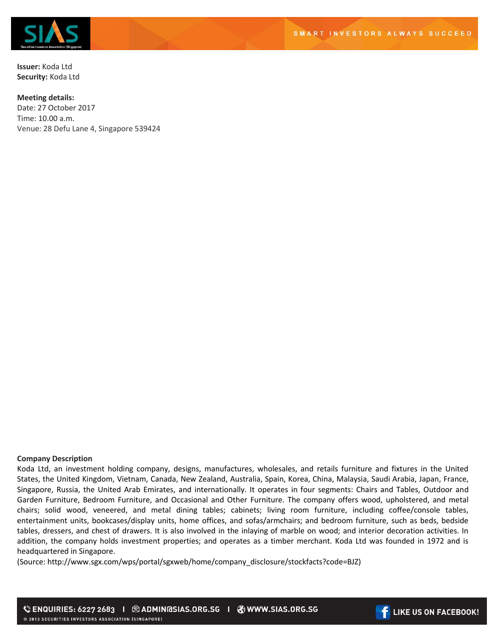

**Issuer:** Koda Ltd **Security:** Koda Ltd

## **Meeting details:**

Date: 27 October 2017 Time: 10.00 a.m. Venue: 28 Defu Lane 4, Singapore 539424

## **Company Description**

Koda Ltd, an investment holding company, designs, manufactures, wholesales, and retails furniture and fixtures in the United States, the United Kingdom, Vietnam, Canada, New Zealand, Australia, Spain, Korea, China, Malaysia, Saudi Arabia, Japan, France, Singapore, Russia, the United Arab Emirates, and internationally. It operates in four segments: Chairs and Tables, Outdoor and Garden Furniture, Bedroom Furniture, and Occasional and Other Furniture. The company offers wood, upholstered, and metal chairs; solid wood, veneered, and metal dining tables; cabinets; living room furniture, including coffee/console tables, entertainment units, bookcases/display units, home offices, and sofas/armchairs; and bedroom furniture, such as beds, bedside tables, dressers, and chest of drawers. It is also involved in the inlaying of marble on wood; and interior decoration activities. In addition, the company holds investment properties; and operates as a timber merchant. Koda Ltd was founded in 1972 and is headquartered in Singapore.

(Source: http://www.sgx.com/wps/portal/sgxweb/home/company\_disclosure/stockfacts?code=BJZ)

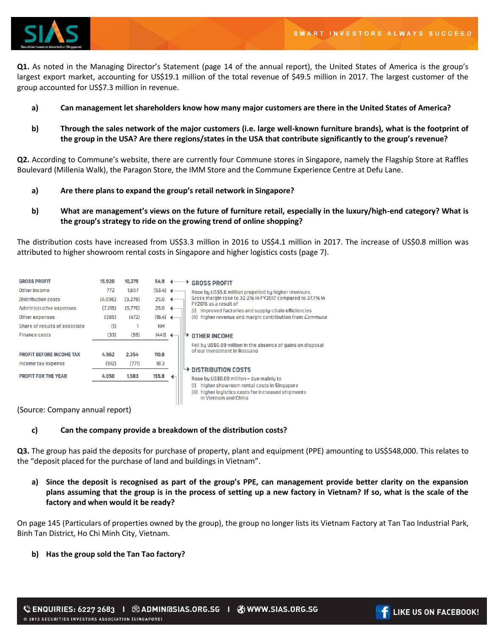

**Q1.** As noted in the Managing Director's Statement (page 14 of the annual report), the United States of America is the group's largest export market, accounting for US\$19.1 million of the total revenue of \$49.5 million in 2017. The largest customer of the group accounted for US\$7.3 million in revenue.

- **a) Can management let shareholders know how many major customers are there in the United States of America?**
- **b) Through the sales network of the major customers (i.e. large well-known furniture brands), what is the footprint of the group in the USA? Are there regions/states in the USA that contribute significantly to the group's revenue?**

**Q2.** According to Commune's website, there are currently four Commune stores in Singapore, namely the Flagship Store at Raffles Boulevard (Millenia Walk), the Paragon Store, the IMM Store and the Commune Experience Centre at Defu Lane.

- **a) Are there plans to expand the group's retail network in Singapore?**
- **b) What are management's views on the future of furniture retail, especially in the luxury/high-end category? What is the group's strategy to ride on the growing trend of online shopping?**

The distribution costs have increased from US\$3.3 million in 2016 to US\$4.1 million in 2017. The increase of US\$0.8 million was attributed to higher showroom rental costs in Singapore and higher logistics costs (page 7).

| <b>GROSS PROFIT</b>             | 15.920   | 10.275  | 54.9       |  | <b>GROSS PROFIT</b>                                                                                                                                                                                                     |
|---------------------------------|----------|---------|------------|--|-------------------------------------------------------------------------------------------------------------------------------------------------------------------------------------------------------------------------|
| Other income                    | 772      | 1.657   | $(53.4)$ 4 |  | Rose by US\$5.6 million propelled by higher revenues.                                                                                                                                                                   |
| <b>Distribution costs</b>       | (4.096)  | (3.278) | 25.0       |  | Gross margin rose to 32.2% in FY2017 compared to 27.7% in<br>FY2016 as a result of                                                                                                                                      |
| Administrative expenses         | (7, 215) | (5,770) | 25.0       |  | (i) improved factories and supply-chain efficiencies                                                                                                                                                                    |
| Other expenses                  | (385)    | (472)   | (18.4)     |  | (ii) higher revenue and margin contribution from <i>Commune</i>                                                                                                                                                         |
| Share of results of associate   | (1)      |         | <b>NM</b>  |  |                                                                                                                                                                                                                         |
| <b>Finance costs</b>            | (33)     | (59)    | (44.1)     |  | <b>OTHER INCOME</b>                                                                                                                                                                                                     |
|                                 |          |         |            |  | Fell by US\$0.89 million in the absence of gains on disposal                                                                                                                                                            |
| <b>PROFIT BEFORE INCOME TAX</b> | 4.962    | 2.354   | 110.8      |  | of our investment in Rossano<br>$\rightarrow$ DISTRIBUTION COSTS<br>Rose by US\$0.09 million - due mainly to<br>higher showroom rental costs in Singapore<br>(i)<br>(ii) higher logistics costs for increased shipments |
| Income tax expense              | (912)    | (771)   | 18.3       |  |                                                                                                                                                                                                                         |
| <b>PROFIT FOR THE YEAR</b>      | 4,050    | 1,583   | 155.8      |  |                                                                                                                                                                                                                         |
|                                 |          |         |            |  | in Vietnam and China                                                                                                                                                                                                    |

(Source: Company annual report)

## **c) Can the company provide a breakdown of the distribution costs?**

**Q3.** The group has paid the deposits for purchase of property, plant and equipment (PPE) amounting to US\$548,000. This relates to the "deposit placed for the purchase of land and buildings in Vietnam".

**a) Since the deposit is recognised as part of the group's PPE, can management provide better clarity on the expansion plans assuming that the group is in the process of setting up a new factory in Vietnam? If so, what is the scale of the factory and when would it be ready?** 

On page 145 (Particulars of properties owned by the group), the group no longer lists its Vietnam Factory at Tan Tao Industrial Park, Binh Tan District, Ho Chi Minh City, Vietnam.

## **b) Has the group sold the Tan Tao factory?**